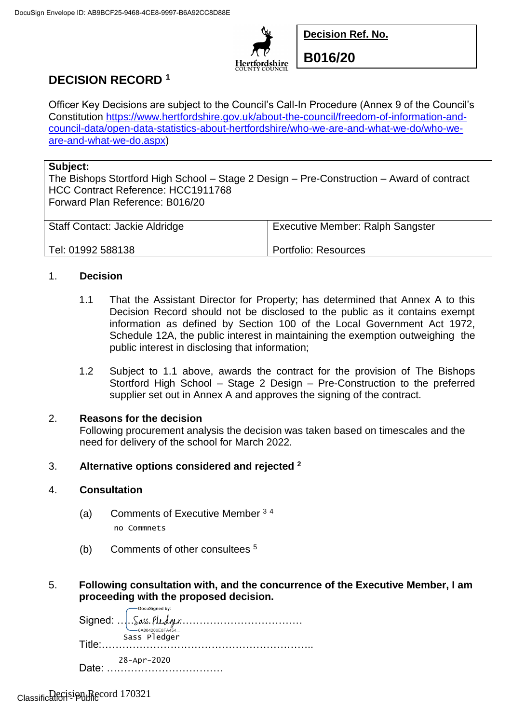

**Decision Ref. No.**

**B016/20**

# **DECISION RECORD <sup>1</sup>**

Officer Key Decisions are subject to the Council's Call-In Procedure (Annex 9 of the Council's Constitution [https://www.hertfordshire.gov.uk/about-the-council/freedom-of-information-and](https://www.hertfordshire.gov.uk/about-the-council/freedom-of-information-and-council-data/open-data-statistics-about-hertfordshire/who-we-are-and-what-we-do/who-we-are-and-what-we-do.aspx)[council-data/open-data-statistics-about-hertfordshire/who-we-are-and-what-we-do/who-we](https://www.hertfordshire.gov.uk/about-the-council/freedom-of-information-and-council-data/open-data-statistics-about-hertfordshire/who-we-are-and-what-we-do/who-we-are-and-what-we-do.aspx)[are-and-what-we-do.aspx\)](https://www.hertfordshire.gov.uk/about-the-council/freedom-of-information-and-council-data/open-data-statistics-about-hertfordshire/who-we-are-and-what-we-do/who-we-are-and-what-we-do.aspx)

### **Subject:**

The Bishops Stortford High School – Stage 2 Design – Pre-Construction – Award of contract HCC Contract Reference: HCC1911768 Forward Plan Reference: B016/20

| <b>Staff Contact: Jackie Aldridge</b> | <b>Executive Member: Ralph Sangster</b> |
|---------------------------------------|-----------------------------------------|
| Tel: 01992 588138                     | Portfolio: Resources                    |

## 1. **Decision**

- 1.1 That the Assistant Director for Property; has determined that Annex A to this Decision Record should not be disclosed to the public as it contains exempt information as defined by Section 100 of the Local Government Act 1972, Schedule 12A, the public interest in maintaining the exemption outweighing the public interest in disclosing that information;
- 1.2 Subject to 1.1 above, awards the contract for the provision of The Bishops Stortford High School – Stage 2 Design – Pre-Construction to the preferred supplier set out in Annex A and approves the signing of the contract.

## 2. **Reasons for the decision**

Following procurement analysis the decision was taken based on timescales and the need for delivery of the school for March 2022.

## 3. **Alternative options considered and rejected <sup>2</sup>**

### 4. **Consultation**

- (a) Comments of Executive Member <sup>3</sup> <sup>4</sup> no Commnets
- (b) Comments of other consultees <sup>5</sup>
- 5. **Following consultation with, and the concurrence of the Executive Member, I am proceeding with the proposed decision.**

|         | Sass Pledger      |
|---------|-------------------|
|         |                   |
| $Date+$ | $28 - Apr - 2020$ |
|         |                   |